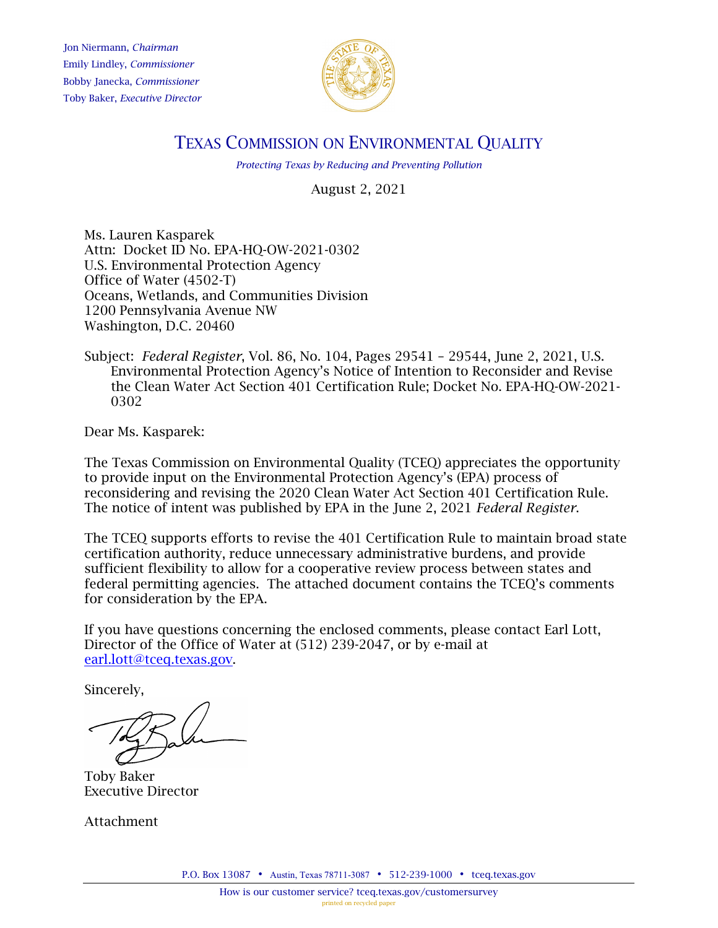Jon Niermann, *Chairman* Emily Lindley, *Commissioner* Bobby Janecka, *Commissioner* Toby Baker, *Executive Director*



# TEXAS COMMISSION ON ENVIRONMENTAL QUALITY

*Protecting Texas by Reducing and Preventing Pollution*

August 2, 2021

Ms. Lauren Kasparek Attn: Docket ID No. EPA-HQ-OW-2021-0302 U.S. Environmental Protection Agency Office of Water (4502-T) Oceans, Wetlands, and Communities Division 1200 Pennsylvania Avenue NW Washington, D.C. 20460

Subject: *Federal Register*, Vol. 86, No. 104, Pages 29541 – 29544, June 2, 2021, U.S. Environmental Protection Agency's Notice of Intention to Reconsider and Revise the Clean Water Act Section 401 Certification Rule; Docket No. EPA-HQ-OW-2021- 0302

Dear Ms. Kasparek:

The Texas Commission on Environmental Quality (TCEQ) appreciates the opportunity to provide input on the Environmental Protection Agency's (EPA) process of reconsidering and revising the 2020 Clean Water Act Section 401 Certification Rule. The notice of intent was published by EPA in the June 2, 2021 *Federal Register*.

The TCEQ supports efforts to revise the 401 Certification Rule to maintain broad state certification authority, reduce unnecessary administrative burdens, and provide sufficient flexibility to allow for a cooperative review process between states and federal permitting agencies. The attached document contains the TCEQ's comments for consideration by the EPA.

If you have questions concerning the enclosed comments, please contact Earl Lott, Director of the Office of Water at (512) 239-2047, or by e-mail at [earl.lott@tceq.texas.gov.](mailto:earl.lott@tceq.texas.gov)

Sincerely,

Toby Baker Executive Director

Attachment

P.O. Box 13087 • Austin, Texas 78711-3087 • 512-239-1000 • [tceq.texas.gov](http://www.tceq.state.tx.us/)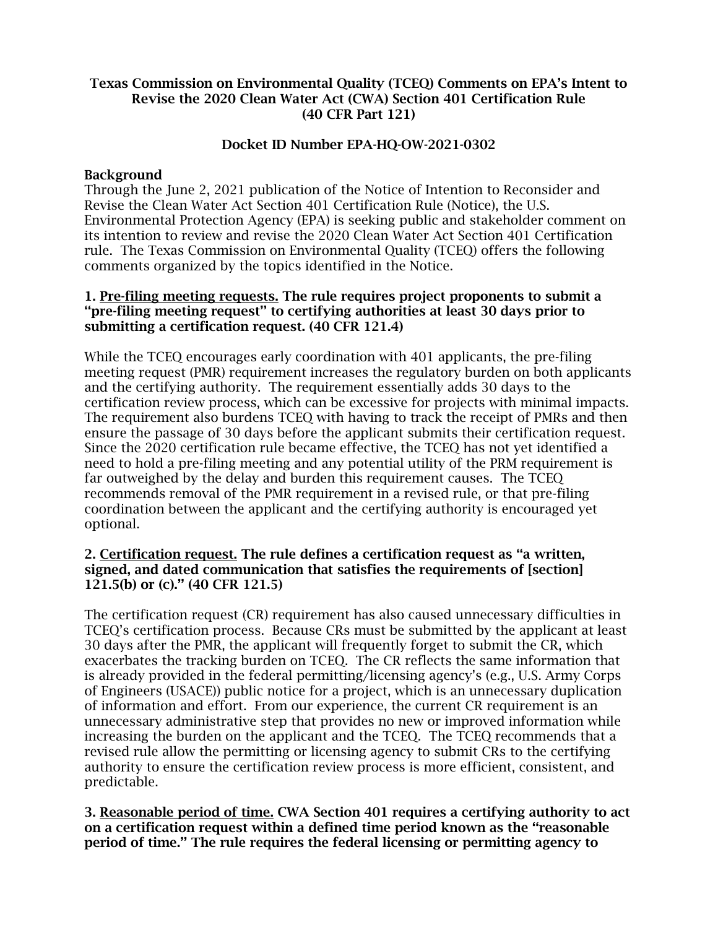## Texas Commission on Environmental Quality (TCEQ) Comments on EPA's Intent to Revise the 2020 Clean Water Act (CWA) Section 401 Certification Rule (40 CFR Part 121)

# Docket ID Number EPA-HQ-OW-2021-0302

## **Background**

Through the June 2, 2021 publication of the Notice of Intention to Reconsider and Revise the Clean Water Act Section 401 Certification Rule (Notice), the U.S. Environmental Protection Agency (EPA) is seeking public and stakeholder comment on its intention to review and revise the 2020 Clean Water Act Section 401 Certification rule. The Texas Commission on Environmental Quality (TCEQ) offers the following comments organized by the topics identified in the Notice.

## 1. Pre-filing meeting requests. The rule requires project proponents to submit a ''pre-filing meeting request'' to certifying authorities at least 30 days prior to submitting a certification request. (40 CFR 121.4)

While the TCEQ encourages early coordination with 401 applicants, the pre-filing meeting request (PMR) requirement increases the regulatory burden on both applicants and the certifying authority. The requirement essentially adds 30 days to the certification review process, which can be excessive for projects with minimal impacts. The requirement also burdens TCEQ with having to track the receipt of PMRs and then ensure the passage of 30 days before the applicant submits their certification request. Since the 2020 certification rule became effective, the TCEQ has not yet identified a need to hold a pre-filing meeting and any potential utility of the PRM requirement is far outweighed by the delay and burden this requirement causes. The TCEQ recommends removal of the PMR requirement in a revised rule, or that pre-filing coordination between the applicant and the certifying authority is encouraged yet optional.

# 2. Certification request. The rule defines a certification request as ''a written, signed, and dated communication that satisfies the requirements of [section] 121.5(b) or (c).'' (40 CFR 121.5)

The certification request (CR) requirement has also caused unnecessary difficulties in TCEQ's certification process. Because CRs must be submitted by the applicant at least 30 days after the PMR, the applicant will frequently forget to submit the CR, which exacerbates the tracking burden on TCEQ. The CR reflects the same information that is already provided in the federal permitting/licensing agency's (e.g., U.S. Army Corps of Engineers (USACE)) public notice for a project, which is an unnecessary duplication of information and effort. From our experience, the current CR requirement is an unnecessary administrative step that provides no new or improved information while increasing the burden on the applicant and the TCEQ. The TCEQ recommends that a revised rule allow the permitting or licensing agency to submit CRs to the certifying authority to ensure the certification review process is more efficient, consistent, and predictable.

3. Reasonable period of time. CWA Section 401 requires a certifying authority to act on a certification request within a defined time period known as the ''reasonable period of time.'' The rule requires the federal licensing or permitting agency to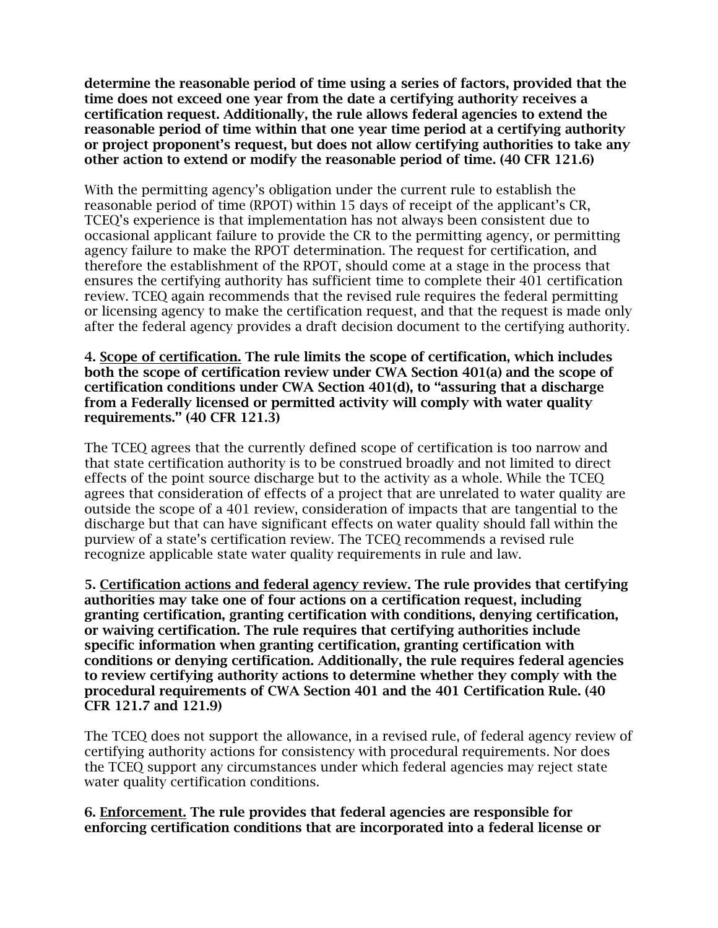determine the reasonable period of time using a series of factors, provided that the time does not exceed one year from the date a certifying authority receives a certification request. Additionally, the rule allows federal agencies to extend the reasonable period of time within that one year time period at a certifying authority or project proponent's request, but does not allow certifying authorities to take any other action to extend or modify the reasonable period of time. (40 CFR 121.6)

With the permitting agency's obligation under the current rule to establish the reasonable period of time (RPOT) within 15 days of receipt of the applicant's CR, TCEQ's experience is that implementation has not always been consistent due to occasional applicant failure to provide the CR to the permitting agency, or permitting agency failure to make the RPOT determination. The request for certification, and therefore the establishment of the RPOT, should come at a stage in the process that ensures the certifying authority has sufficient time to complete their 401 certification review. TCEQ again recommends that the revised rule requires the federal permitting or licensing agency to make the certification request, and that the request is made only after the federal agency provides a draft decision document to the certifying authority.

#### 4. Scope of certification. The rule limits the scope of certification, which includes both the scope of certification review under CWA Section 401(a) and the scope of certification conditions under CWA Section 401(d), to ''assuring that a discharge from a Federally licensed or permitted activity will comply with water quality requirements.'' (40 CFR 121.3)

The TCEQ agrees that the currently defined scope of certification is too narrow and that state certification authority is to be construed broadly and not limited to direct effects of the point source discharge but to the activity as a whole. While the TCEQ agrees that consideration of effects of a project that are unrelated to water quality are outside the scope of a 401 review, consideration of impacts that are tangential to the discharge but that can have significant effects on water quality should fall within the purview of a state's certification review. The TCEQ recommends a revised rule recognize applicable state water quality requirements in rule and law.

5. Certification actions and federal agency review. The rule provides that certifying authorities may take one of four actions on a certification request, including granting certification, granting certification with conditions, denying certification, or waiving certification. The rule requires that certifying authorities include specific information when granting certification, granting certification with conditions or denying certification. Additionally, the rule requires federal agencies to review certifying authority actions to determine whether they comply with the procedural requirements of CWA Section 401 and the 401 Certification Rule. (40 CFR 121.7 and 121.9)

The TCEQ does not support the allowance, in a revised rule, of federal agency review of certifying authority actions for consistency with procedural requirements. Nor does the TCEQ support any circumstances under which federal agencies may reject state water quality certification conditions.

# 6. Enforcement. The rule provides that federal agencies are responsible for enforcing certification conditions that are incorporated into a federal license or